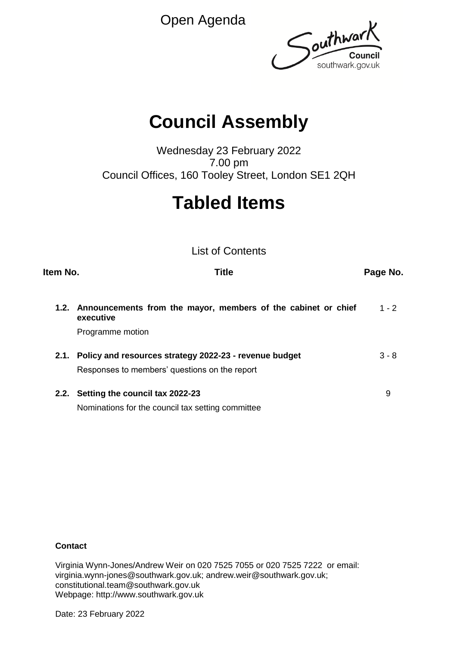Open Agenda



# **Council Assembly**

Wednesday 23 February 2022 7.00 pm Council Offices, 160 Tooley Street, London SE1 2QH

# **Tabled Items**

List of Contents

| Item No. | Title                                                                                                                                                                                                                            | Page No. |
|----------|----------------------------------------------------------------------------------------------------------------------------------------------------------------------------------------------------------------------------------|----------|
| 1.2.     | Announcements from the mayor, members of the cabinet or chief<br>executive                                                                                                                                                       | $1 - 2$  |
|          | Programme motion                                                                                                                                                                                                                 |          |
| 2.1.     | Policy and resources strategy 2022-23 - revenue budget                                                                                                                                                                           | $3 - 8$  |
|          | Responses to members' questions on the report                                                                                                                                                                                    |          |
|          | 2.2. Setting the council tax 2022-23                                                                                                                                                                                             | 9        |
|          | $\mathbf{r}$ , and the set of the set of the set of the set of the set of the set of the set of the set of the set of the set of the set of the set of the set of the set of the set of the set of the set of the set of the set |          |

Nominations for the council tax setting committee

# **Contact**

Virginia Wynn-Jones/Andrew Weir on 020 7525 7055 or 020 7525 7222 or email: virginia.wynn-jones@southwark.gov.uk; andrew.weir@southwark.gov.uk; constitutional.team@southwark.gov.uk Webpage: http://www.southwark.gov.uk

Date: 23 February 2022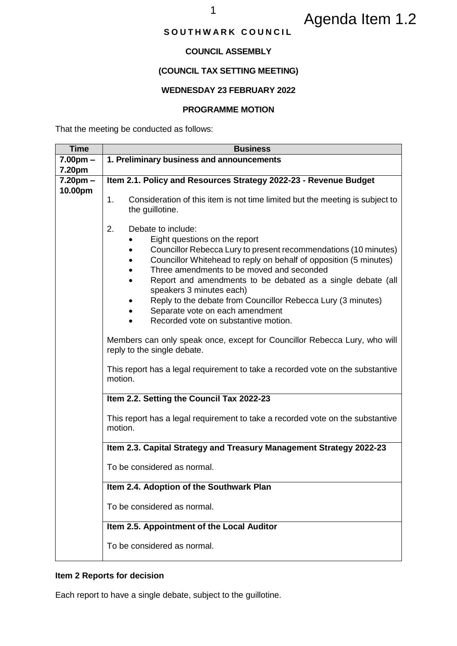# Agenda Item 1.2

# SOUTHWARK COUNCIL

# **COUNCIL ASSEMBLY**

# **(COUNCIL TAX SETTING MEETING)**

## **WEDNESDAY 23 FEBRUARY 2022**

#### **PROGRAMME MOTION**

That the meeting be conducted as follows:

| <b>Time</b> | <b>Business</b>                                                                                                                                                                                                                                                                                                                                                                                                                                                                      |  |  |  |  |
|-------------|--------------------------------------------------------------------------------------------------------------------------------------------------------------------------------------------------------------------------------------------------------------------------------------------------------------------------------------------------------------------------------------------------------------------------------------------------------------------------------------|--|--|--|--|
| $7.00pm -$  | 1. Preliminary business and announcements                                                                                                                                                                                                                                                                                                                                                                                                                                            |  |  |  |  |
| 7.20pm      |                                                                                                                                                                                                                                                                                                                                                                                                                                                                                      |  |  |  |  |
| $7.20pm -$  | Item 2.1. Policy and Resources Strategy 2022-23 - Revenue Budget                                                                                                                                                                                                                                                                                                                                                                                                                     |  |  |  |  |
| 10.00pm     | Consideration of this item is not time limited but the meeting is subject to<br>1.<br>the guillotine.                                                                                                                                                                                                                                                                                                                                                                                |  |  |  |  |
|             | 2.<br>Debate to include:<br>Eight questions on the report<br>Councillor Rebecca Lury to present recommendations (10 minutes)<br>Councillor Whitehead to reply on behalf of opposition (5 minutes)<br>Three amendments to be moved and seconded<br>Report and amendments to be debated as a single debate (all<br>speakers 3 minutes each)<br>Reply to the debate from Councillor Rebecca Lury (3 minutes)<br>Separate vote on each amendment<br>Recorded vote on substantive motion. |  |  |  |  |
|             | Members can only speak once, except for Councillor Rebecca Lury, who will<br>reply to the single debate.<br>This report has a legal requirement to take a recorded vote on the substantive<br>motion.                                                                                                                                                                                                                                                                                |  |  |  |  |
|             |                                                                                                                                                                                                                                                                                                                                                                                                                                                                                      |  |  |  |  |
|             | Item 2.2. Setting the Council Tax 2022-23                                                                                                                                                                                                                                                                                                                                                                                                                                            |  |  |  |  |
|             | This report has a legal requirement to take a recorded vote on the substantive<br>motion.                                                                                                                                                                                                                                                                                                                                                                                            |  |  |  |  |
|             | Item 2.3. Capital Strategy and Treasury Management Strategy 2022-23                                                                                                                                                                                                                                                                                                                                                                                                                  |  |  |  |  |
|             | To be considered as normal.                                                                                                                                                                                                                                                                                                                                                                                                                                                          |  |  |  |  |
|             | Item 2.4. Adoption of the Southwark Plan                                                                                                                                                                                                                                                                                                                                                                                                                                             |  |  |  |  |
|             | To be considered as normal.                                                                                                                                                                                                                                                                                                                                                                                                                                                          |  |  |  |  |
|             | Item 2.5. Appointment of the Local Auditor                                                                                                                                                                                                                                                                                                                                                                                                                                           |  |  |  |  |
|             | To be considered as normal.                                                                                                                                                                                                                                                                                                                                                                                                                                                          |  |  |  |  |

# **Item 2 Reports for decision**

Each report to have a single debate, subject to the guillotine.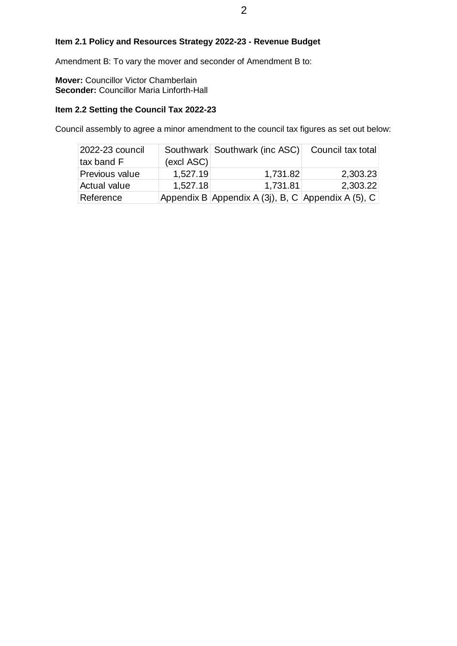# **Item 2.1 Policy and Resources Strategy 2022-23 - Revenue Budget**

Amendment B: To vary the mover and seconder of Amendment B to:

**Mover:** Councillor Victor Chamberlain **Seconder:** Councillor Maria Linforth-Hall

# **Item 2.2 Setting the Council Tax 2022-23**

Council assembly to agree a minor amendment to the council tax figures as set out below:

|                                                                                 |            | 2                                                                                 |                   |
|---------------------------------------------------------------------------------|------------|-----------------------------------------------------------------------------------|-------------------|
|                                                                                 |            | 1.1 Policy and Resources Strategy 2022-23 - Revenue Budget.                       |                   |
|                                                                                 |            | dment B: To vary the mover and seconder of Amendment B to:                        |                   |
| r: Councillor Victor Chamberlain<br><b>nder: Councillor Maria Linforth-Hall</b> |            |                                                                                   |                   |
| 2.2 Setting the Council Tax 2022-23                                             |            | il assembly to agree a minor amendment to the council tax figures as set out belo |                   |
| 2022-23 council<br>tax band F                                                   | (excl ASC) | Southwark Southwark (inc ASC)                                                     | Council tax total |
| <b>Previous value</b>                                                           | 1,527.19   | 1,731.82                                                                          | 2,303.23          |
| Actual value                                                                    | 1,527.18   | 1,731.81                                                                          | 2,303.22          |
| Reference                                                                       |            | Appendix B Appendix A (3j), B, C Appendix A (5), C                                |                   |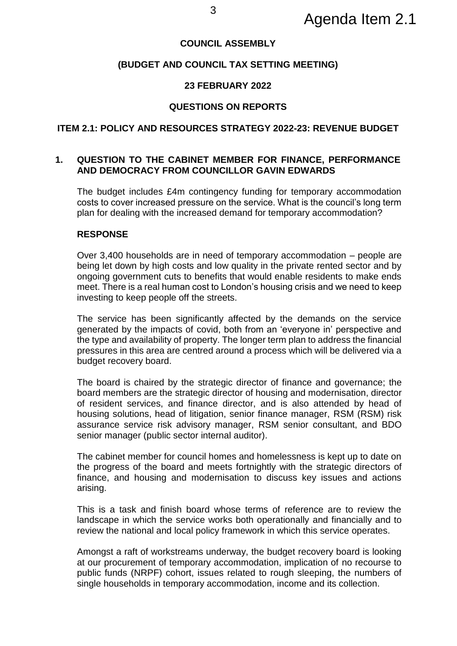# **COUNCIL ASSEMBLY**

# **(BUDGET AND COUNCIL TAX SETTING MEETING)**

# **23 FEBRUARY 2022**

### **QUESTIONS ON REPORTS**

#### **ITEM 2.1: POLICY AND RESOURCES STRATEGY 2022-23: REVENUE BUDGET**

# **1. QUESTION TO THE CABINET MEMBER FOR FINANCE, PERFORMANCE AND DEMOCRACY FROM COUNCILLOR GAVIN EDWARDS**

The budget includes £4m contingency funding for temporary accommodation costs to cover increased pressure on the service. What is the council's long term plan for dealing with the increased demand for temporary accommodation?

# **RESPONSE**

Over 3,400 households are in need of temporary accommodation – people are being let down by high costs and low quality in the private rented sector and by ongoing government cuts to benefits that would enable residents to make ends meet. There is a real human cost to London's housing crisis and we need to keep investing to keep people off the streets.

The service has been significantly affected by the demands on the service generated by the impacts of covid, both from an 'everyone in' perspective and the type and availability of property. The longer term plan to address the financial pressures in this area are centred around a process which will be delivered via a budget recovery board.

The board is chaired by the strategic director of finance and governance; the board members are the strategic director of housing and modernisation, director of resident services, and finance director, and is also attended by head of housing solutions, head of litigation, senior finance manager, RSM (RSM) risk assurance service risk advisory manager, RSM senior consultant, and BDO senior manager (public sector internal auditor).

The cabinet member for council homes and homelessness is kept up to date on the progress of the board and meets fortnightly with the strategic directors of finance, and housing and modernisation to discuss key issues and actions arising.

This is a task and finish board whose terms of reference are to review the landscape in which the service works both operationally and financially and to review the national and local policy framework in which this service operates.

Amongst a raft of workstreams underway, the budget recovery board is looking at our procurement of temporary accommodation, implication of no recourse to public funds (NRPF) cohort, issues related to rough sleeping, the numbers of single households in temporary accommodation, income and its collection.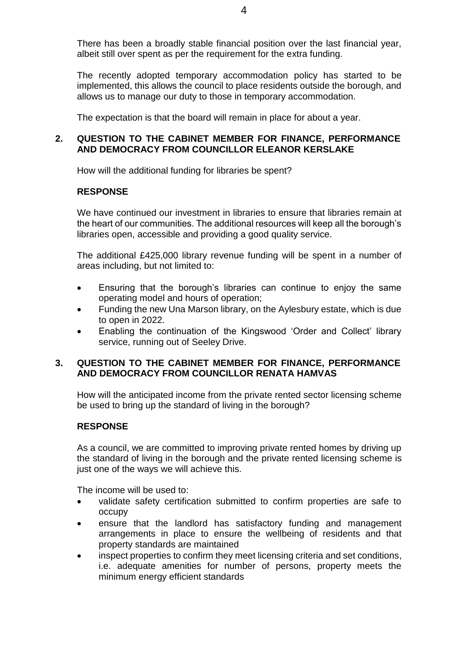There has been a broadly stable financial position over the last financial year, albeit still over spent as per the requirement for the extra funding.

The recently adopted temporary accommodation policy has started to be implemented, this allows the council to place residents outside the borough, and allows us to manage our duty to those in temporary accommodation.

The expectation is that the board will remain in place for about a year.

# **2. QUESTION TO THE CABINET MEMBER FOR FINANCE, PERFORMANCE AND DEMOCRACY FROM COUNCILLOR ELEANOR KERSLAKE**

How will the additional funding for libraries be spent?

# **RESPONSE**

We have continued our investment in libraries to ensure that libraries remain at the heart of our communities. The additional resources will keep all the borough's libraries open, accessible and providing a good quality service.

The additional £425,000 library revenue funding will be spent in a number of areas including, but not limited to:

- Ensuring that the borough's libraries can continue to enjoy the same operating model and hours of operation;
- Funding the new Una Marson library, on the Aylesbury estate, which is due to open in 2022.
- Enabling the continuation of the Kingswood 'Order and Collect' library service, running out of Seeley Drive.

# **3. QUESTION TO THE CABINET MEMBER FOR FINANCE, PERFORMANCE AND DEMOCRACY FROM COUNCILLOR RENATA HAMVAS**

How will the anticipated income from the private rented sector licensing scheme be used to bring up the standard of living in the borough?

# **RESPONSE**

As a council, we are committed to improving private rented homes by driving up the standard of living in the borough and the private rented licensing scheme is just one of the ways we will achieve this.

The income will be used to:

- validate safety certification submitted to confirm properties are safe to occupy
- ensure that the landlord has satisfactory funding and management arrangements in place to ensure the wellbeing of residents and that property standards are maintained
- inspect properties to confirm they meet licensing criteria and set conditions, i.e. adequate amenities for number of persons, property meets the minimum energy efficient standards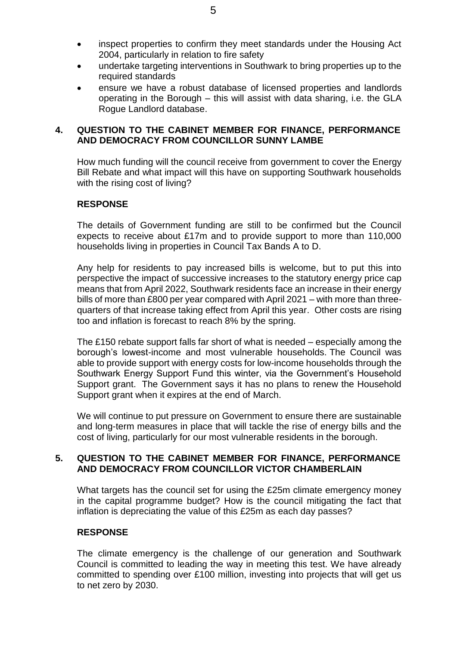- inspect properties to confirm they meet standards under the Housing Act 2004, particularly in relation to fire safety
- undertake targeting interventions in Southwark to bring properties up to the required standards
- ensure we have a robust database of licensed properties and landlords operating in the Borough – this will assist with data sharing, i.e. the GLA Rogue Landlord database.

# **4. QUESTION TO THE CABINET MEMBER FOR FINANCE, PERFORMANCE AND DEMOCRACY FROM COUNCILLOR SUNNY LAMBE**

How much funding will the council receive from government to cover the Energy Bill Rebate and what impact will this have on supporting Southwark households with the rising cost of living?

# **RESPONSE**

The details of Government funding are still to be confirmed but the Council expects to receive about £17m and to provide support to more than 110,000 households living in properties in Council Tax Bands A to D.

Any help for residents to pay increased bills is welcome, but to put this into perspective the impact of successive increases to the statutory energy price cap means that from April 2022, Southwark residents face an increase in their energy bills of more than £800 per year compared with April 2021 – with more than threequarters of that increase taking effect from April this year. Other costs are rising too and inflation is forecast to reach 8% by the spring.

The £150 rebate support falls far short of what is needed – especially among the borough's lowest-income and most vulnerable households. The Council was able to provide support with energy costs for low-income households through the Southwark Energy Support Fund this winter, via the Government's Household Support grant. The Government says it has no plans to renew the Household Support grant when it expires at the end of March.

We will continue to put pressure on Government to ensure there are sustainable and long-term measures in place that will tackle the rise of energy bills and the cost of living, particularly for our most vulnerable residents in the borough.

# **5. QUESTION TO THE CABINET MEMBER FOR FINANCE, PERFORMANCE AND DEMOCRACY FROM COUNCILLOR VICTOR CHAMBERLAIN**

What targets has the council set for using the £25m climate emergency money in the capital programme budget? How is the council mitigating the fact that inflation is depreciating the value of this £25m as each day passes?

# **RESPONSE**

The climate emergency is the challenge of our generation and Southwark Council is committed to leading the way in meeting this test. We have already committed to spending over £100 million, investing into projects that will get us to net zero by 2030.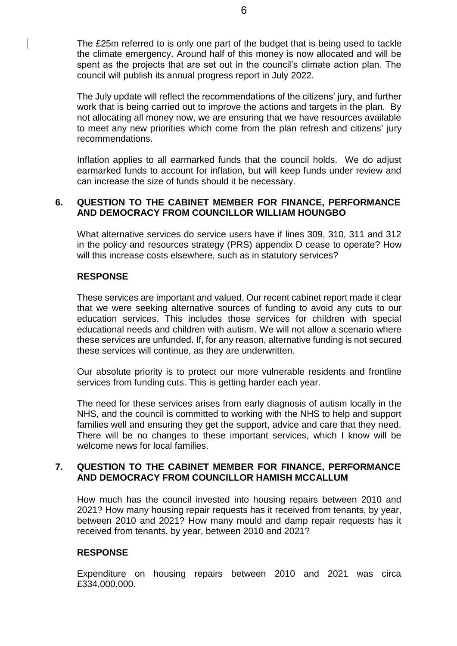The £25m referred to is only one part of the budget that is being used to tackle the climate emergency. Around half of this money is now allocated and will be spent as the projects that are set out in the council's climate action plan. The council will publish its annual progress report in July 2022.

The July update will reflect the recommendations of the citizens' jury, and further work that is being carried out to improve the actions and targets in the plan. By not allocating all money now, we are ensuring that we have resources available to meet any new priorities which come from the plan refresh and citizens' jury recommendations.

Inflation applies to all earmarked funds that the council holds. We do adjust earmarked funds to account for inflation, but will keep funds under review and can increase the size of funds should it be necessary.

# **6. QUESTION TO THE CABINET MEMBER FOR FINANCE, PERFORMANCE AND DEMOCRACY FROM COUNCILLOR WILLIAM HOUNGBO**

What alternative services do service users have if lines 309, 310, 311 and 312 in the policy and resources strategy (PRS) appendix D cease to operate? How will this increase costs elsewhere, such as in statutory services?

# **RESPONSE**

These services are important and valued. Our recent cabinet report made it clear that we were seeking alternative sources of funding to avoid any cuts to our education services. This includes those services for children with special educational needs and children with autism. We will not allow a scenario where these services are unfunded. If, for any reason, alternative funding is not secured these services will continue, as they are underwritten.

Our absolute priority is to protect our more vulnerable residents and frontline services from funding cuts. This is getting harder each year.

The need for these services arises from early diagnosis of autism locally in the NHS, and the council is committed to working with the NHS to help and support families well and ensuring they get the support, advice and care that they need. There will be no changes to these important services, which I know will be welcome news for local families.

# **7. QUESTION TO THE CABINET MEMBER FOR FINANCE, PERFORMANCE AND DEMOCRACY FROM COUNCILLOR HAMISH MCCALLUM**

How much has the council invested into housing repairs between 2010 and 2021? How many housing repair requests has it received from tenants, by year, between 2010 and 2021? How many mould and damp repair requests has it received from tenants, by year, between 2010 and 2021?

# **RESPONSE**

Expenditure on housing repairs between 2010 and 2021 was circa £334,000,000.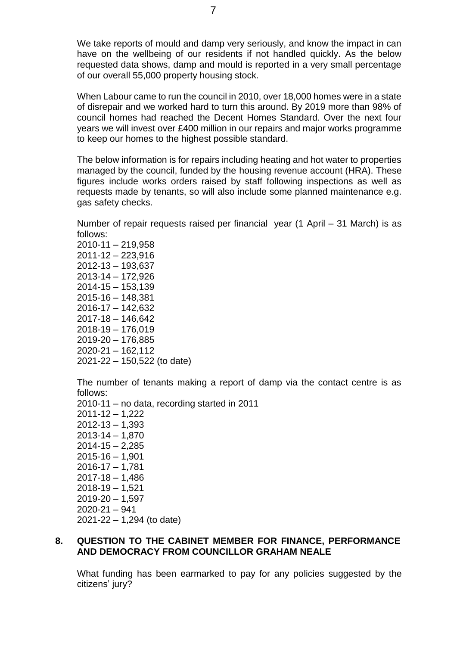We take reports of mould and damp very seriously, and know the impact in can have on the wellbeing of our residents if not handled quickly. As the below requested data shows, damp and mould is reported in a very small percentage of our overall 55,000 property housing stock.

When Labour came to run the council in 2010, over 18,000 homes were in a state of disrepair and we worked hard to turn this around. By 2019 more than 98% of council homes had reached the Decent Homes Standard. Over the next four years we will invest over £400 million in our repairs and major works programme to keep our homes to the highest possible standard.

The below information is for repairs including heating and hot water to properties managed by the council, funded by the housing revenue account (HRA). These figures include works orders raised by staff following inspections as well as requests made by tenants, so will also include some planned maintenance e.g. gas safety checks.

Number of repair requests raised per financial year (1 April – 31 March) is as follows:

2010-11 – 219,958 2011-12 – 223,916 2012-13 – 193,637 2013-14 – 172,926 2014-15 – 153,139 2015-16 – 148,381 2016-17 – 142,632 2017-18 – 146,642 2018-19 – 176,019 2019-20 – 176,885 2020-21 – 162,112 2021-22 – 150,522 (to date)

The number of tenants making a report of damp via the contact centre is as follows:

2010-11 – no data, recording started in 2011 2011-12 – 1,222 2012-13 – 1,393 2013-14 – 1,870 2014-15 – 2,285  $2015 - 16 - 1,901$ 2016-17 – 1,781  $2017 - 18 - 1,486$ 2018-19 – 1,521  $2019 - 20 - 1,597$ 2020-21 – 941 2021-22 – 1,294 (to date)

# **8. QUESTION TO THE CABINET MEMBER FOR FINANCE, PERFORMANCE AND DEMOCRACY FROM COUNCILLOR GRAHAM NEALE**

What funding has been earmarked to pay for any policies suggested by the citizens' jury?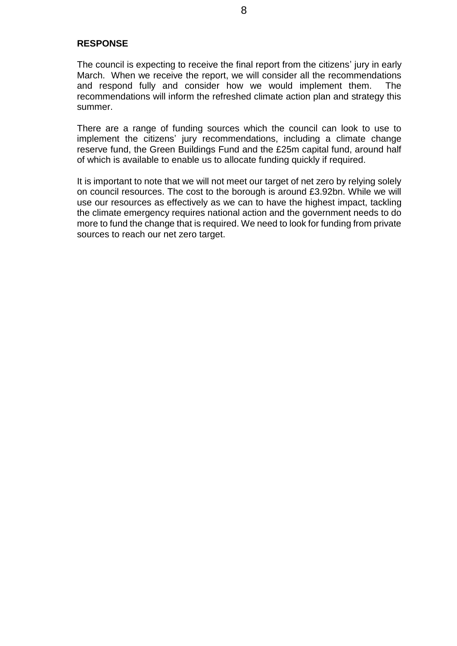# **RESPONSE**

The council is expecting to receive the final report from the citizens' jury in early March. When we receive the report, we will consider all the recommendations and respond fully and consider how we would implement them. The recommendations will inform the refreshed climate action plan and strategy this summer.

There are a range of funding sources which the council can look to use to implement the citizens' jury recommendations, including a climate change reserve fund, the Green Buildings Fund and the £25m capital fund, around half of which is available to enable us to allocate funding quickly if required.

It is important to note that we will not meet our target of net zero by relying solely on council resources. The cost to the borough is around £3.92bn. While we will use our resources as effectively as we can to have the highest impact, tackling the climate emergency requires national action and the government needs to do more to fund the change that is required. We need to look for funding from private sources to reach our net zero target.